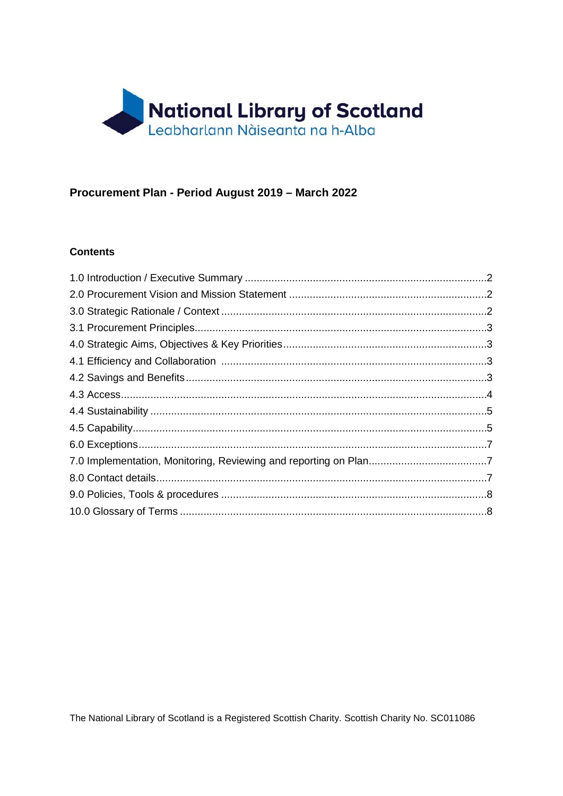

# Procurement Plan - Period August 2019 - March 2022

#### **Contents**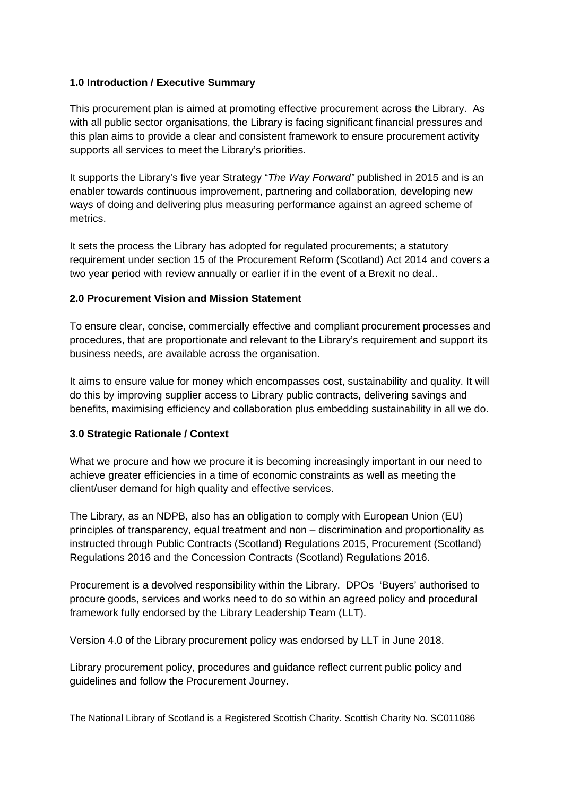### <span id="page-1-0"></span>**1.0 Introduction / Executive Summary**

This procurement plan is aimed at promoting effective procurement across the Library. As with all public sector organisations, the Library is facing significant financial pressures and this plan aims to provide a clear and consistent framework to ensure procurement activity supports all services to meet the Library's priorities.

It supports the Library's five year Strategy "*The Way Forward"* published in 2015 and is an enabler towards continuous improvement, partnering and collaboration, developing new ways of doing and delivering plus measuring performance against an agreed scheme of metrics.

It sets the process the Library has adopted for regulated procurements; a statutory requirement under section 15 of the Procurement Reform (Scotland) Act 2014 and covers a two year period with review annually or earlier if in the event of a Brexit no deal..

### <span id="page-1-1"></span>**2.0 Procurement Vision and Mission Statement**

To ensure clear, concise, commercially effective and compliant procurement processes and procedures, that are proportionate and relevant to the Library's requirement and support its business needs, are available across the organisation.

It aims to ensure value for money which encompasses cost, sustainability and quality. It will do this by improving supplier access to Library public contracts, delivering savings and benefits, maximising efficiency and collaboration plus embedding sustainability in all we do.

#### <span id="page-1-2"></span>**3.0 Strategic Rationale / Context**

What we procure and how we procure it is becoming increasingly important in our need to achieve greater efficiencies in a time of economic constraints as well as meeting the client/user demand for high quality and effective services.

The Library, as an NDPB, also has an obligation to comply with European Union (EU) principles of transparency, equal treatment and non – discrimination and proportionality as instructed through Public Contracts (Scotland) Regulations 2015, Procurement (Scotland) Regulations 2016 and the Concession Contracts (Scotland) Regulations 2016.

Procurement is a devolved responsibility within the Library. DPOs 'Buyers' authorised to procure goods, services and works need to do so within an agreed policy and procedural framework fully endorsed by the Library Leadership Team (LLT).

Version 4.0 of the Library procurement policy was endorsed by LLT in June 2018.

Library procurement policy, procedures and guidance reflect current public policy and guidelines and follow the Procurement Journey.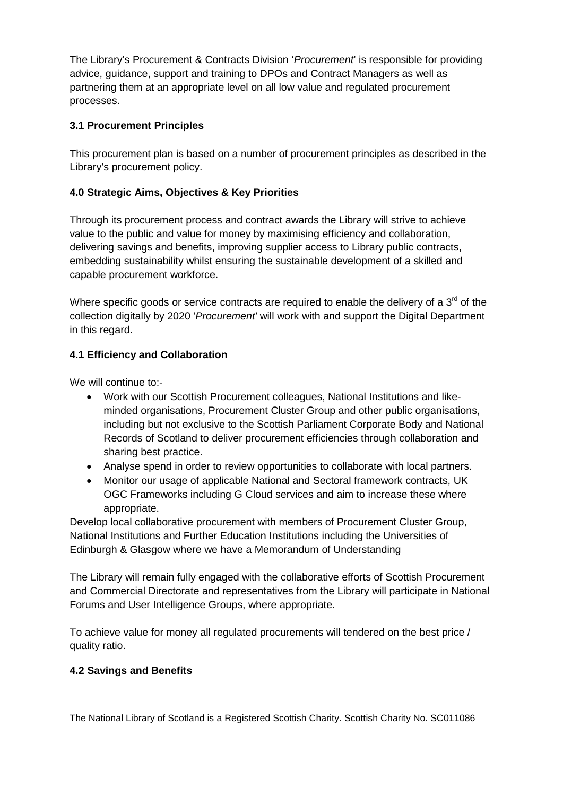The Library's Procurement & Contracts Division '*Procurement*' is responsible for providing advice, guidance, support and training to DPOs and Contract Managers as well as partnering them at an appropriate level on all low value and regulated procurement processes.

# <span id="page-2-0"></span>**3.1 Procurement Principles**

This procurement plan is based on a number of procurement principles as described in the Library's procurement policy.

# <span id="page-2-1"></span>**4.0 Strategic Aims, Objectives & Key Priorities**

Through its procurement process and contract awards the Library will strive to achieve value to the public and value for money by maximising efficiency and collaboration, delivering savings and benefits, improving supplier access to Library public contracts, embedding sustainability whilst ensuring the sustainable development of a skilled and capable procurement workforce.

Where specific goods or service contracts are required to enable the delivery of a  $3<sup>rd</sup>$  of the collection digitally by 2020 '*Procurement'* will work with and support the Digital Department in this regard.

# <span id="page-2-2"></span>**4.1 Efficiency and Collaboration**

We will continue to:-

- Work with our Scottish Procurement colleagues, National Institutions and likeminded organisations, Procurement Cluster Group and other public organisations, including but not exclusive to the Scottish Parliament Corporate Body and National Records of Scotland to deliver procurement efficiencies through collaboration and sharing best practice.
- Analyse spend in order to review opportunities to collaborate with local partners.
- Monitor our usage of applicable National and Sectoral framework contracts, UK OGC Frameworks including G Cloud services and aim to increase these where appropriate.

Develop local collaborative procurement with members of Procurement Cluster Group, National Institutions and Further Education Institutions including the Universities of Edinburgh & Glasgow where we have a Memorandum of Understanding

The Library will remain fully engaged with the collaborative efforts of Scottish Procurement and Commercial Directorate and representatives from the Library will participate in National Forums and User Intelligence Groups, where appropriate.

To achieve value for money all regulated procurements will tendered on the best price / quality ratio.

# <span id="page-2-3"></span>**4.2 Savings and Benefits**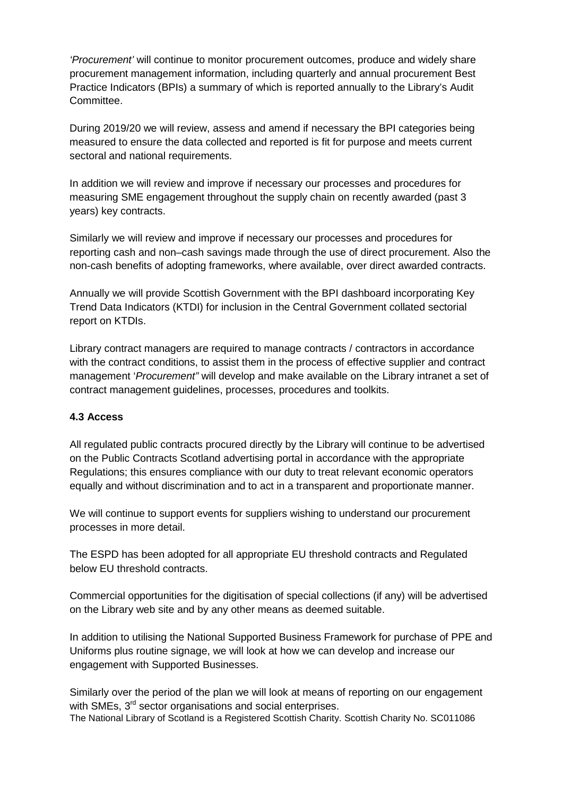*'Procurement'* will continue to monitor procurement outcomes, produce and widely share procurement management information, including quarterly and annual procurement Best Practice Indicators (BPIs) a summary of which is reported annually to the Library's Audit Committee.

During 2019/20 we will review, assess and amend if necessary the BPI categories being measured to ensure the data collected and reported is fit for purpose and meets current sectoral and national requirements.

In addition we will review and improve if necessary our processes and procedures for measuring SME engagement throughout the supply chain on recently awarded (past 3 years) key contracts.

Similarly we will review and improve if necessary our processes and procedures for reporting cash and non–cash savings made through the use of direct procurement. Also the non-cash benefits of adopting frameworks, where available, over direct awarded contracts.

Annually we will provide Scottish Government with the BPI dashboard incorporating Key Trend Data Indicators (KTDI) for inclusion in the Central Government collated sectorial report on KTDIs.

Library contract managers are required to manage contracts / contractors in accordance with the contract conditions, to assist them in the process of effective supplier and contract management '*Procurement"* will develop and make available on the Library intranet a set of contract management guidelines, processes, procedures and toolkits.

#### <span id="page-3-0"></span>**4.3 Access**

All regulated public contracts procured directly by the Library will continue to be advertised on the Public Contracts Scotland advertising portal in accordance with the appropriate Regulations; this ensures compliance with our duty to treat relevant economic operators equally and without discrimination and to act in a transparent and proportionate manner.

We will continue to support events for suppliers wishing to understand our procurement processes in more detail.

The ESPD has been adopted for all appropriate EU threshold contracts and Regulated below EU threshold contracts.

Commercial opportunities for the digitisation of special collections (if any) will be advertised on the Library web site and by any other means as deemed suitable.

In addition to utilising the National Supported Business Framework for purchase of PPE and Uniforms plus routine signage, we will look at how we can develop and increase our engagement with Supported Businesses.

The National Library of Scotland is a Registered Scottish Charity. Scottish Charity No. SC011086 Similarly over the period of the plan we will look at means of reporting on our engagement with SMEs, 3<sup>rd</sup> sector organisations and social enterprises.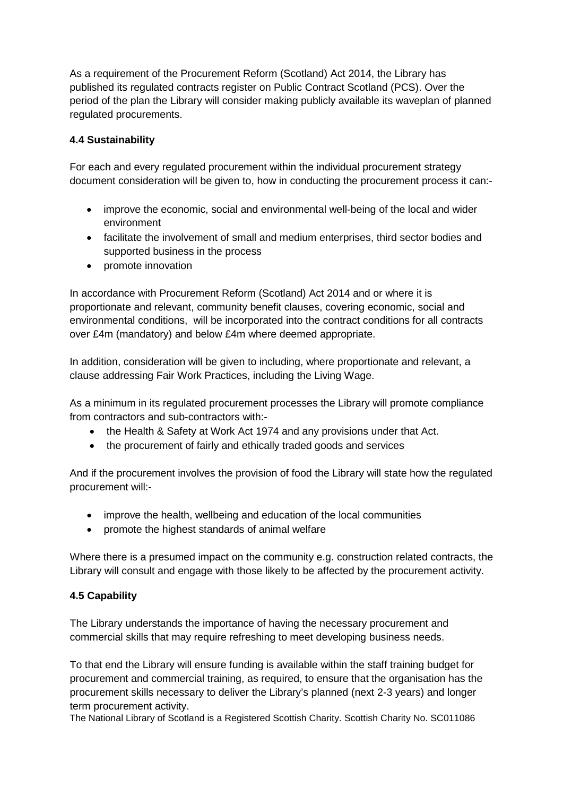As a requirement of the Procurement Reform (Scotland) Act 2014, the Library has published its regulated contracts register on Public Contract Scotland (PCS). Over the period of the plan the Library will consider making publicly available its waveplan of planned regulated procurements.

# <span id="page-4-0"></span>**4.4 Sustainability**

For each and every regulated procurement within the individual procurement strategy document consideration will be given to, how in conducting the procurement process it can:-

- improve the economic, social and environmental well-being of the local and wider environment
- facilitate the involvement of small and medium enterprises, third sector bodies and supported business in the process
- promote innovation

In accordance with Procurement Reform (Scotland) Act 2014 and or where it is proportionate and relevant, community benefit clauses, covering economic, social and environmental conditions, will be incorporated into the contract conditions for all contracts over £4m (mandatory) and below £4m where deemed appropriate.

In addition, consideration will be given to including, where proportionate and relevant, a clause addressing Fair Work Practices, including the Living Wage.

As a minimum in its regulated procurement processes the Library will promote compliance from contractors and sub-contractors with:-

- the Health & Safety at Work Act 1974 and any provisions under that Act.
- the procurement of fairly and ethically traded goods and services

And if the procurement involves the provision of food the Library will state how the regulated procurement will:-

- improve the health, wellbeing and education of the local communities
- promote the highest standards of animal welfare

Where there is a presumed impact on the community e.g. construction related contracts, the Library will consult and engage with those likely to be affected by the procurement activity.

# <span id="page-4-1"></span>**4.5 Capability**

The Library understands the importance of having the necessary procurement and commercial skills that may require refreshing to meet developing business needs.

To that end the Library will ensure funding is available within the staff training budget for procurement and commercial training, as required, to ensure that the organisation has the procurement skills necessary to deliver the Library's planned (next 2-3 years) and longer term procurement activity.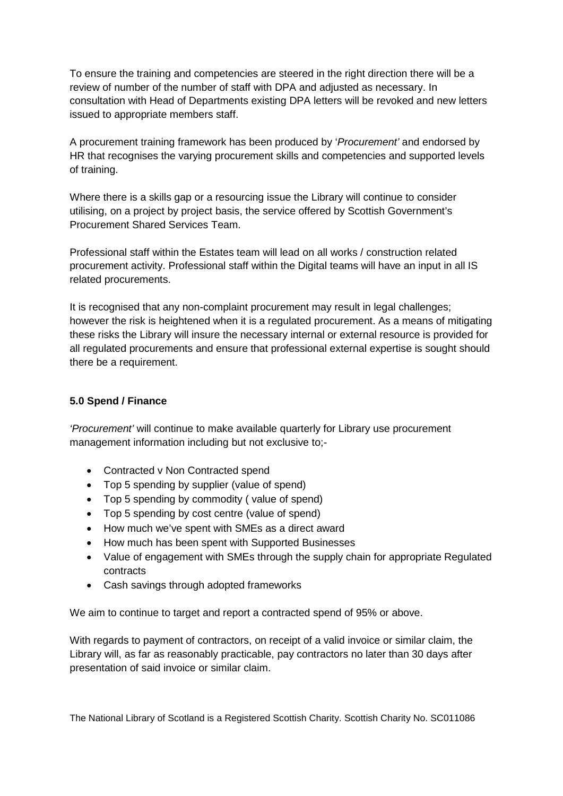To ensure the training and competencies are steered in the right direction there will be a review of number of the number of staff with DPA and adjusted as necessary. In consultation with Head of Departments existing DPA letters will be revoked and new letters issued to appropriate members staff.

A procurement training framework has been produced by '*Procurement'* and endorsed by HR that recognises the varying procurement skills and competencies and supported levels of training.

Where there is a skills gap or a resourcing issue the Library will continue to consider utilising, on a project by project basis, the service offered by Scottish Government's Procurement Shared Services Team.

Professional staff within the Estates team will lead on all works / construction related procurement activity. Professional staff within the Digital teams will have an input in all IS related procurements.

It is recognised that any non-complaint procurement may result in legal challenges; however the risk is heightened when it is a regulated procurement. As a means of mitigating these risks the Library will insure the necessary internal or external resource is provided for all regulated procurements and ensure that professional external expertise is sought should there be a requirement.

# **5.0 Spend / Finance**

*'Procurement'* will continue to make available quarterly for Library use procurement management information including but not exclusive to;-

- Contracted v Non Contracted spend
- Top 5 spending by supplier (value of spend)
- Top 5 spending by commodity ( value of spend)
- Top 5 spending by cost centre (value of spend)
- How much we've spent with SMEs as a direct award
- How much has been spent with Supported Businesses
- Value of engagement with SMEs through the supply chain for appropriate Regulated contracts
- Cash savings through adopted frameworks

We aim to continue to target and report a contracted spend of 95% or above.

With regards to payment of contractors, on receipt of a valid invoice or similar claim, the Library will, as far as reasonably practicable, pay contractors no later than 30 days after presentation of said invoice or similar claim.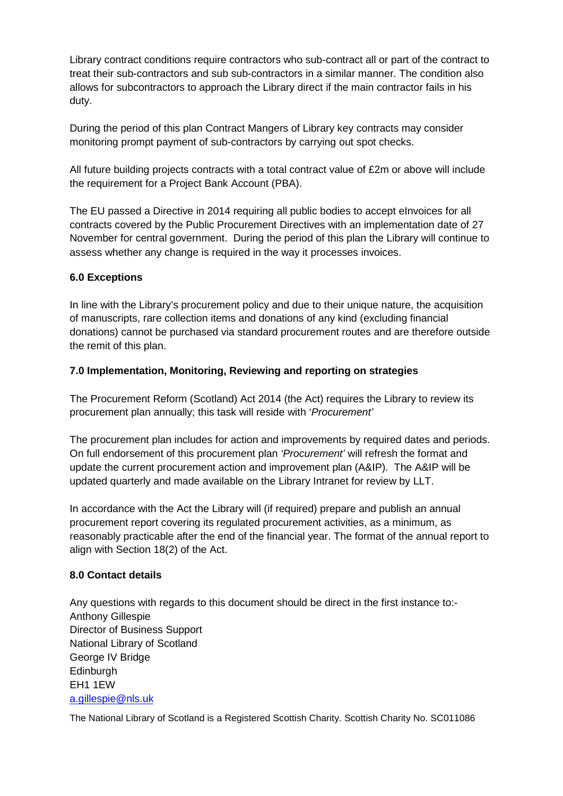Library contract conditions require contractors who sub-contract all or part of the contract to treat their sub-contractors and sub sub-contractors in a similar manner. The condition also allows for subcontractors to approach the Library direct if the main contractor fails in his duty.

During the period of this plan Contract Mangers of Library key contracts may consider monitoring prompt payment of sub-contractors by carrying out spot checks.

All future building projects contracts with a total contract value of £2m or above will include the requirement for a Project Bank Account (PBA).

The EU passed a Directive in 2014 requiring all public bodies to accept eInvoices for all contracts covered by the Public Procurement Directives with an implementation date of 27 November for central government. During the period of this plan the Library will continue to assess whether any change is required in the way it processes invoices.

### <span id="page-6-0"></span>**6.0 Exceptions**

In line with the Library's procurement policy and due to their unique nature, the acquisition of manuscripts, rare collection items and donations of any kind (excluding financial donations) cannot be purchased via standard procurement routes and are therefore outside the remit of this plan.

### <span id="page-6-1"></span>**7.0 Implementation, Monitoring, Reviewing and reporting on strategies**

The Procurement Reform (Scotland) Act 2014 (the Act) requires the Library to review its procurement plan annually; this task will reside with '*Procurement'* 

The procurement plan includes for action and improvements by required dates and periods. On full endorsement of this procurement plan *'Procurement'* will refresh the format and update the current procurement action and improvement plan (A&IP). The A&IP will be updated quarterly and made available on the Library Intranet for review by LLT.

In accordance with the Act the Library will (if required) prepare and publish an annual procurement report covering its regulated procurement activities, as a minimum, as reasonably practicable after the end of the financial year. The format of the annual report to align with Section 18(2) of the Act.

#### <span id="page-6-2"></span>**8.0 Contact details**

Any questions with regards to this document should be direct in the first instance to:- Anthony Gillespie Director of Business Support National Library of Scotland George IV Bridge **Edinburgh** EH1 1EW [a.gillespie@nls.uk](mailto:a.gillespie@nls.uk)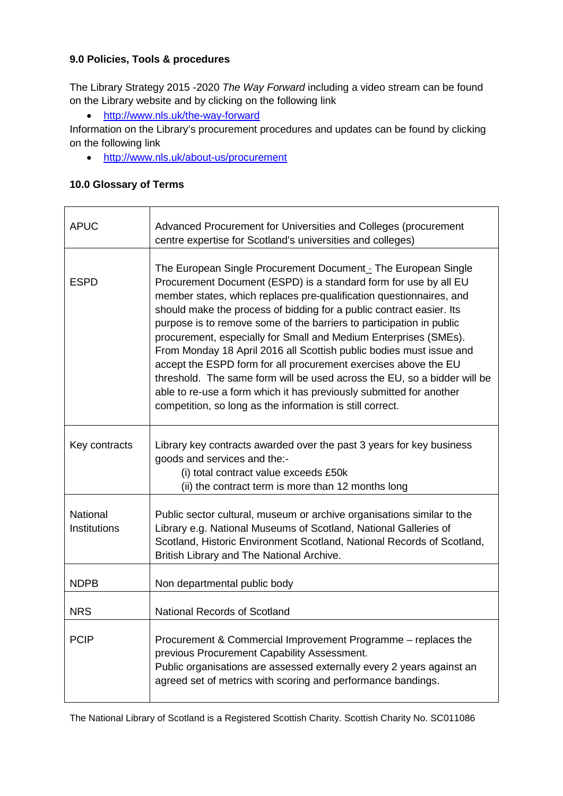### <span id="page-7-0"></span>**9.0 Policies, Tools & procedures**

The Library Strategy 2015 -2020 *The Way Forward* including a video stream can be found on the Library website and by clicking on the following link

• <http://www.nls.uk/the-way-forward>

Information on the Library's procurement procedures and updates can be found by clicking on the following link

• <http://www.nls.uk/about-us/procurement>

### <span id="page-7-1"></span>**10.0 Glossary of Terms**

| <b>APUC</b>                            | Advanced Procurement for Universities and Colleges (procurement<br>centre expertise for Scotland's universities and colleges)                                                                                                                                                                                                                                                                                                                                                                                                                                                                                                                                                                                                                                                           |
|----------------------------------------|-----------------------------------------------------------------------------------------------------------------------------------------------------------------------------------------------------------------------------------------------------------------------------------------------------------------------------------------------------------------------------------------------------------------------------------------------------------------------------------------------------------------------------------------------------------------------------------------------------------------------------------------------------------------------------------------------------------------------------------------------------------------------------------------|
| <b>ESPD</b>                            | The European Single Procurement Document - The European Single<br>Procurement Document (ESPD) is a standard form for use by all EU<br>member states, which replaces pre-qualification questionnaires, and<br>should make the process of bidding for a public contract easier. Its<br>purpose is to remove some of the barriers to participation in public<br>procurement, especially for Small and Medium Enterprises (SMEs).<br>From Monday 18 April 2016 all Scottish public bodies must issue and<br>accept the ESPD form for all procurement exercises above the EU<br>threshold. The same form will be used across the EU, so a bidder will be<br>able to re-use a form which it has previously submitted for another<br>competition, so long as the information is still correct. |
| Key contracts                          | Library key contracts awarded over the past 3 years for key business<br>goods and services and the:-<br>(i) total contract value exceeds £50k<br>(ii) the contract term is more than 12 months long                                                                                                                                                                                                                                                                                                                                                                                                                                                                                                                                                                                     |
| <b>National</b><br><b>Institutions</b> | Public sector cultural, museum or archive organisations similar to the<br>Library e.g. National Museums of Scotland, National Galleries of<br>Scotland, Historic Environment Scotland, National Records of Scotland,<br>British Library and The National Archive.                                                                                                                                                                                                                                                                                                                                                                                                                                                                                                                       |
| <b>NDPB</b>                            | Non departmental public body                                                                                                                                                                                                                                                                                                                                                                                                                                                                                                                                                                                                                                                                                                                                                            |
| <b>NRS</b>                             | <b>National Records of Scotland</b>                                                                                                                                                                                                                                                                                                                                                                                                                                                                                                                                                                                                                                                                                                                                                     |
| <b>PCIP</b>                            | Procurement & Commercial Improvement Programme - replaces the<br>previous Procurement Capability Assessment.<br>Public organisations are assessed externally every 2 years against an<br>agreed set of metrics with scoring and performance bandings.                                                                                                                                                                                                                                                                                                                                                                                                                                                                                                                                   |